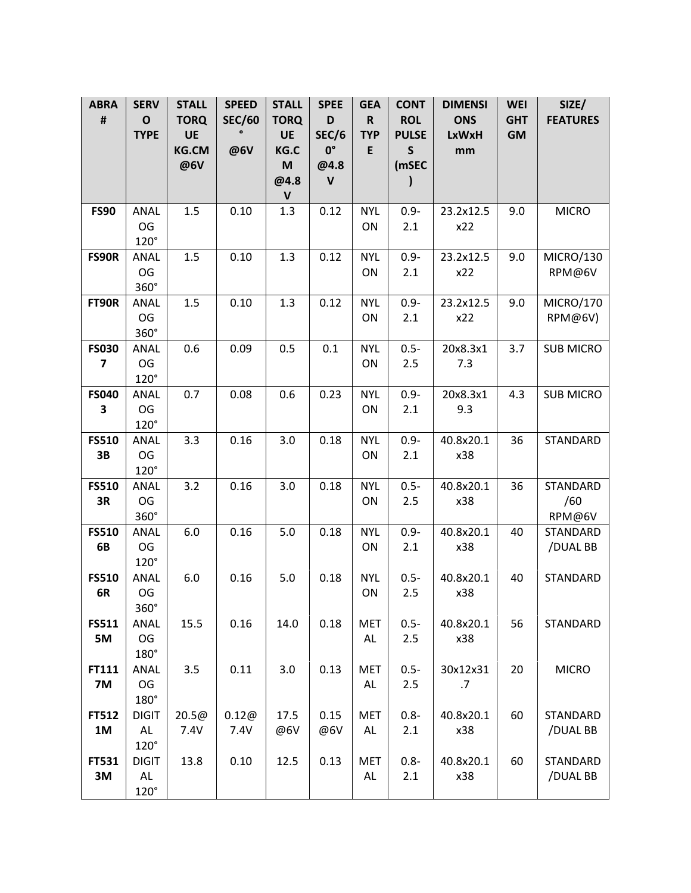| $\pmb{\sharp}$<br><b>SEC/60</b><br><b>ROL</b><br>$\mathbf 0$<br><b>TORQ</b><br><b>TORQ</b><br>D<br>$\mathbf R$<br><b>ONS</b><br><b>GHT</b><br><b>TYPE</b><br>UE<br>UE<br>SEC/6<br><b>GM</b><br><b>TYP</b><br><b>PULSE</b><br><b>LxWxH</b><br>$0^{\circ}$<br><b>KG.CM</b><br>@6V<br>KG.C<br>E<br>$\mathsf{s}$<br>mm | <b>FEATURES</b>  |
|--------------------------------------------------------------------------------------------------------------------------------------------------------------------------------------------------------------------------------------------------------------------------------------------------------------------|------------------|
|                                                                                                                                                                                                                                                                                                                    |                  |
|                                                                                                                                                                                                                                                                                                                    |                  |
| @6V<br>M<br>@4.8<br>(mSEC                                                                                                                                                                                                                                                                                          |                  |
| @4.8<br>$\mathsf{V}$<br>$\mathbf v$                                                                                                                                                                                                                                                                                |                  |
| 1.3<br>$0.9 -$<br><b>FS90</b><br>ANAL<br>1.5<br>0.10<br>0.12<br><b>NYL</b><br>23.2x12.5<br>9.0                                                                                                                                                                                                                     | <b>MICRO</b>     |
| OG<br>ON<br>x22<br>2.1                                                                                                                                                                                                                                                                                             |                  |
| $120^\circ$                                                                                                                                                                                                                                                                                                        |                  |
| 1.5<br>9.0<br>FS90R<br>ANAL<br>0.10<br>1.3<br>0.12<br>$0.9 -$<br>23.2x12.5<br><b>NYL</b>                                                                                                                                                                                                                           | MICRO/130        |
| OG<br>ON<br>x22<br>2.1                                                                                                                                                                                                                                                                                             | RPM@6V           |
| 360°                                                                                                                                                                                                                                                                                                               |                  |
| 0.10<br>1.3<br>FT90R<br>ANAL<br>1.5<br>0.12<br><b>NYL</b><br>$0.9 -$<br>23.2x12.5<br>9.0                                                                                                                                                                                                                           | <b>MICRO/170</b> |
| OG<br>ON<br>x22<br>2.1                                                                                                                                                                                                                                                                                             | RPM@6V)          |
| $360^\circ$<br>0.5<br>0.6<br>0.09<br>0.1<br>3.7<br><b>FS030</b><br><b>NYL</b><br>$0.5 -$<br>20x8.3x1<br>ANAL                                                                                                                                                                                                       | <b>SUB MICRO</b> |
| $\overline{\mathbf{z}}$<br>OG<br>7.3<br>ON<br>2.5                                                                                                                                                                                                                                                                  |                  |
| $120^\circ$                                                                                                                                                                                                                                                                                                        |                  |
| 0.7<br><b>FS040</b><br>ANAL<br>0.08<br>0.6<br>0.23<br><b>NYL</b><br>$0.9 -$<br>20x8.3x1<br>4.3                                                                                                                                                                                                                     | <b>SUB MICRO</b> |
| OG<br>3<br>9.3<br>ON<br>2.1                                                                                                                                                                                                                                                                                        |                  |
| $120^\circ$                                                                                                                                                                                                                                                                                                        |                  |
| 0.16<br>3.0<br>40.8x20.1<br>36<br><b>FS510</b><br>3.3<br>0.18<br><b>NYL</b><br>$0.9 -$<br>ANAL                                                                                                                                                                                                                     | STANDARD         |
| OG<br>3B<br>x38<br>ON<br>2.1                                                                                                                                                                                                                                                                                       |                  |
| $120^\circ$<br>36                                                                                                                                                                                                                                                                                                  |                  |
| ANAL<br>3.2<br>0.16<br>3.0<br>0.18<br>$0.5 -$<br>40.8x20.1<br><b>FS510</b><br><b>NYL</b><br>OG<br>3R<br>x38<br>ON<br>2.5                                                                                                                                                                                           | STANDARD<br>/60  |
| 360°                                                                                                                                                                                                                                                                                                               | RPM@6V           |
| 6.0<br><b>FS510</b><br>ANAL<br>0.16<br>5.0<br>0.18<br><b>NYL</b><br>$0.9 -$<br>40.8x20.1<br>40                                                                                                                                                                                                                     | STANDARD         |
| 6B<br>OG<br>ON<br>$2.1$<br>x38                                                                                                                                                                                                                                                                                     | /DUAL BB         |
| $120^\circ$                                                                                                                                                                                                                                                                                                        |                  |
| <b>FS510</b><br>6.0<br>0.16<br>5.0<br>40<br>ANAL<br>0.18<br><b>NYL</b><br>$0.5 -$<br>40.8x20.1                                                                                                                                                                                                                     | STANDARD         |
| 6R<br>OG<br>ON<br>2.5<br>x38                                                                                                                                                                                                                                                                                       |                  |
| 360°                                                                                                                                                                                                                                                                                                               |                  |
| 56<br><b>FS511</b><br>ANAL<br>15.5<br>0.16<br>14.0<br>0.18<br><b>MET</b><br>$0.5 -$<br>40.8x20.1<br>OG<br>5M<br>AL<br>2.5<br>x38                                                                                                                                                                                   | STANDARD         |
| 180°                                                                                                                                                                                                                                                                                                               |                  |
| 3.5<br>20<br>FT111<br>ANAL<br>0.11<br>3.0<br>0.13<br>$0.5 -$<br>30x12x31<br><b>MET</b>                                                                                                                                                                                                                             | <b>MICRO</b>     |
| OG<br><b>7M</b><br>AL<br>2.5<br>.7                                                                                                                                                                                                                                                                                 |                  |
| 180°                                                                                                                                                                                                                                                                                                               |                  |
| 0.12@<br>17.5<br>0.15<br><b>FT512</b><br><b>DIGIT</b><br>20.5@<br><b>MET</b><br>$0.8 -$<br>40.8x20.1<br>60                                                                                                                                                                                                         | STANDARD         |
| 7.4V<br>1M<br>AL<br>7.4V<br>@6V<br>@6V<br>AL<br>x38<br>2.1                                                                                                                                                                                                                                                         | /DUAL BB         |
| $120^\circ$                                                                                                                                                                                                                                                                                                        |                  |
| FT531<br>0.10<br>12.5<br>0.13<br><b>MET</b><br>$0.8 -$<br>40.8x20.1<br>60<br><b>DIGIT</b><br>13.8                                                                                                                                                                                                                  | STANDARD         |
| 3M<br><b>AL</b><br><b>AL</b><br>2.1<br>x38<br>$120^\circ$                                                                                                                                                                                                                                                          | /DUAL BB         |